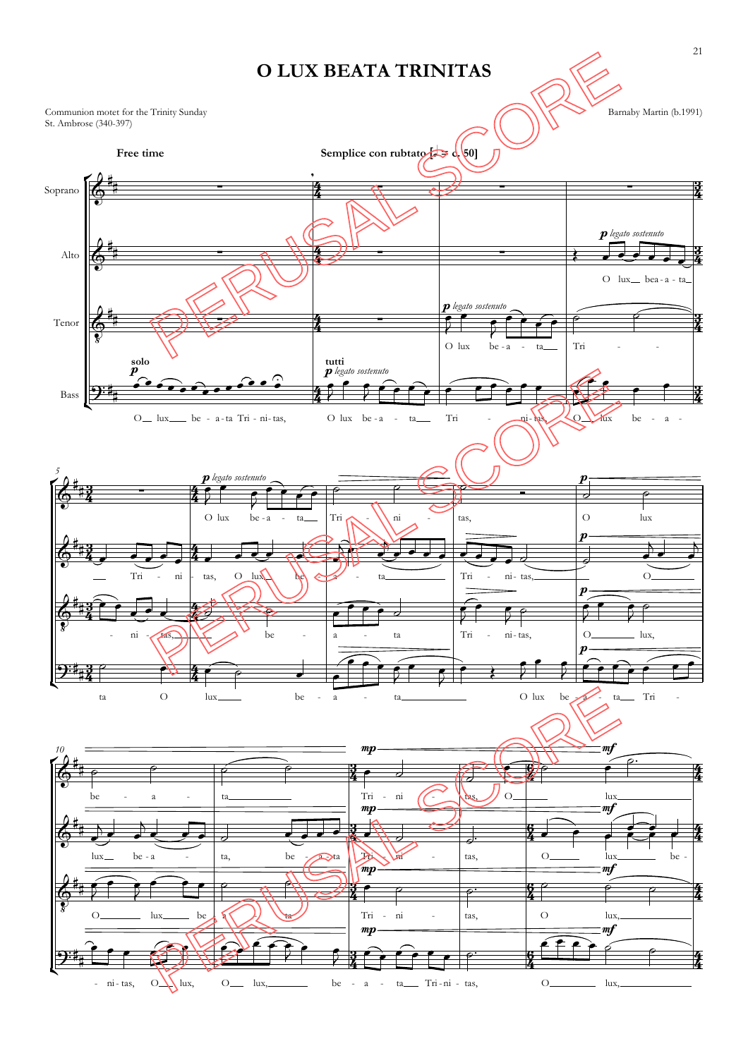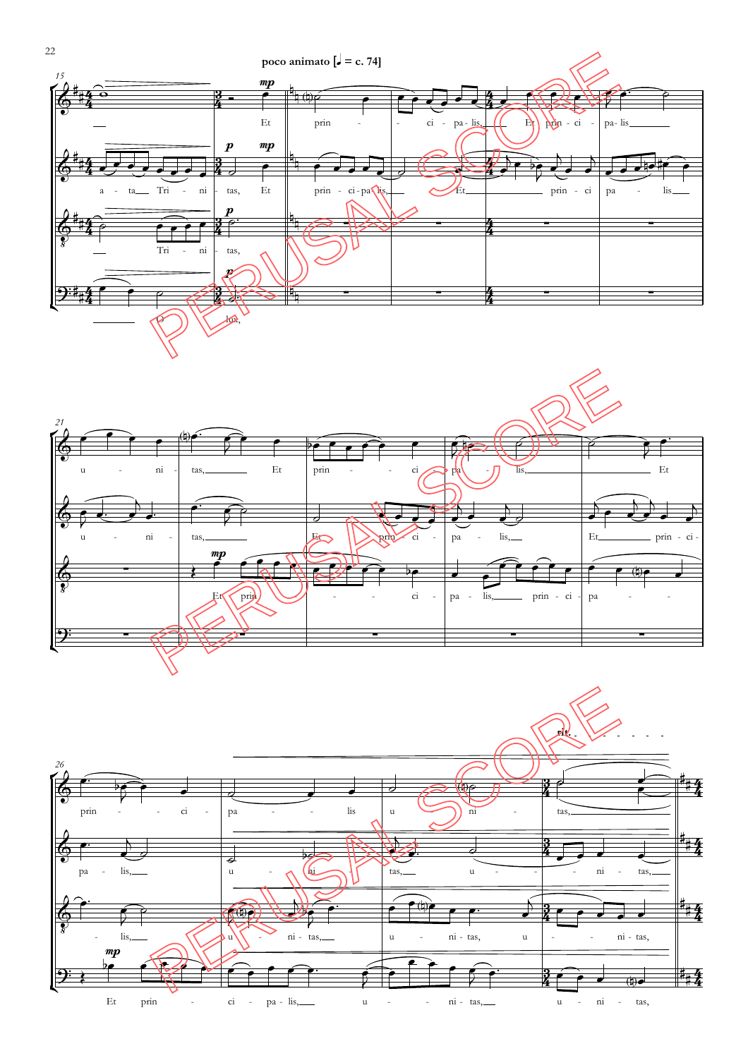





22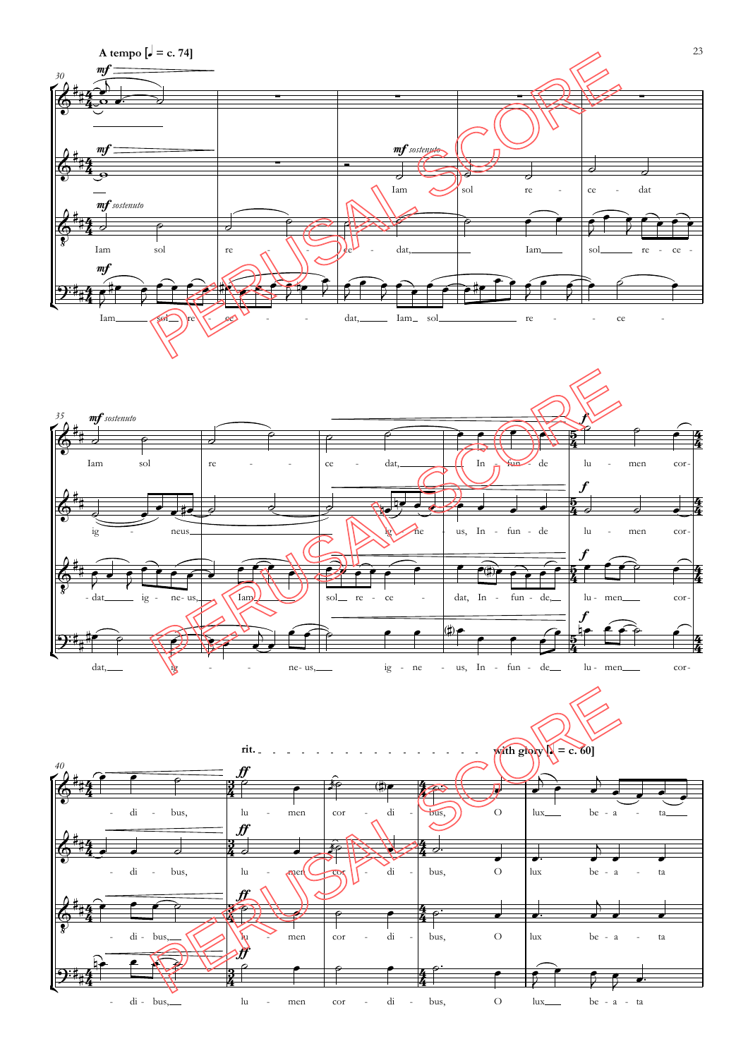